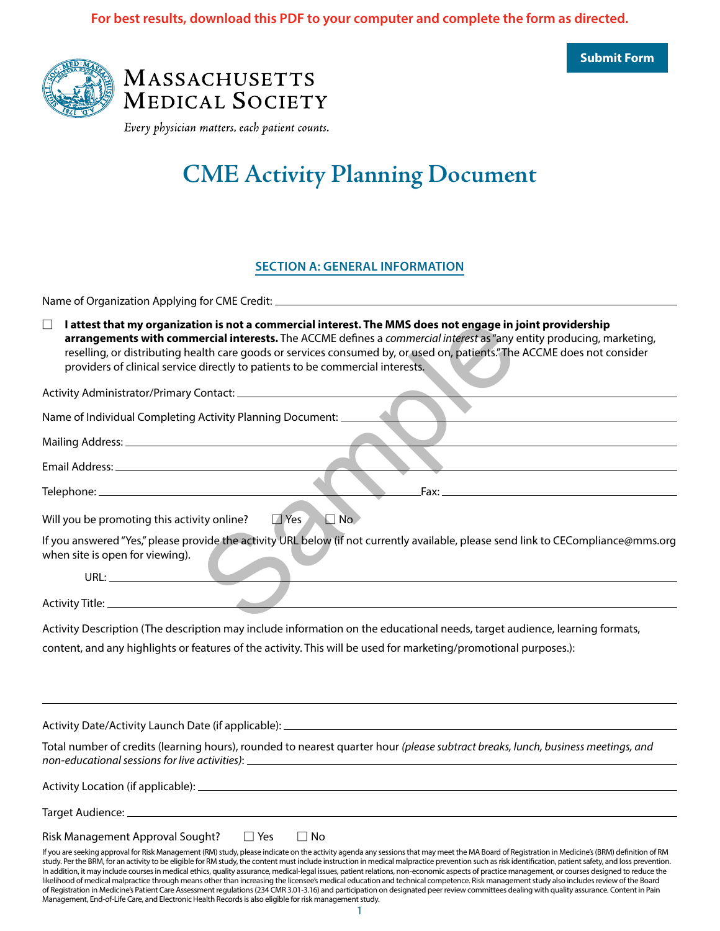**Submit Form**





Every physician matters, each patient counts.

# **CME Activity Planning Document**

### **SECTION A: GENERAL INFORMATION**

Name of Organization Applying for CME Credit:

| I attest that my organization is not a commercial interest. The MMS does not engage in joint providership<br>П<br>arrangements with commercial interests. The ACCME defines a commercial interest as "any entity producing, marketing,                                                                                                                                  |  |
|-------------------------------------------------------------------------------------------------------------------------------------------------------------------------------------------------------------------------------------------------------------------------------------------------------------------------------------------------------------------------|--|
| reselling, or distributing health care goods or services consumed by, or used on, patients." The ACCME does not consider                                                                                                                                                                                                                                                |  |
| providers of clinical service directly to patients to be commercial interests.                                                                                                                                                                                                                                                                                          |  |
|                                                                                                                                                                                                                                                                                                                                                                         |  |
| Name of Individual Completing Activity Planning Document: _____                                                                                                                                                                                                                                                                                                         |  |
|                                                                                                                                                                                                                                                                                                                                                                         |  |
|                                                                                                                                                                                                                                                                                                                                                                         |  |
|                                                                                                                                                                                                                                                                                                                                                                         |  |
|                                                                                                                                                                                                                                                                                                                                                                         |  |
| $\Box$ No<br>$\Box$ Yes<br>Will you be promoting this activity online?                                                                                                                                                                                                                                                                                                  |  |
| If you answered "Yes," please provide the activity URL below (if not currently available, please send link to CECompliance@mms.org                                                                                                                                                                                                                                      |  |
| when site is open for viewing).                                                                                                                                                                                                                                                                                                                                         |  |
| $\begin{picture}(180,10) \put(0,0){\dashbox{0.5}(10,0){ }} \put(10,0){\dashbox{0.5}(10,0){ }} \put(10,0){\dashbox{0.5}(10,0){ }} \put(10,0){\dashbox{0.5}(10,0){ }} \put(10,0){\dashbox{0.5}(10,0){ }} \put(10,0){\dashbox{0.5}(10,0){ }} \put(10,0){\dashbox{0.5}(10,0){ }} \put(10,0){\dashbox{0.5}(10,0){ }} \put(10,0){\dashbox{0.5}(10,0){ }} \put(10,0){\dashbox$ |  |
|                                                                                                                                                                                                                                                                                                                                                                         |  |
|                                                                                                                                                                                                                                                                                                                                                                         |  |

Activity Description (The description may include information on the educational needs, target audience, learning formats, content, and any highlights or features of the activity. This will be used for marketing/promotional purposes.):

Activity Date/Activity Launch Date (if applicable):

Total number of credits (learning hours), rounded to nearest quarter hour *(please subtract breaks, lunch, business meetings, and non-educational sessions for live activities)*:

Activity Location (if applicable):

Target Audience:

| Risk Management Approval Sought? | $\Box$ Yes | $\square$ No |
|----------------------------------|------------|--------------|
|                                  |            |              |

If you are seeking approval for Risk Management (RM) study, please indicate on the activity agenda any sessions that may meet the MA Board of Registration in Medicine's (BRM) definition of RM study. Per the BRM, for an activity to be eligible for RM study, the content must include instruction in medical malpractice prevention such as risk identification, patient safety, and loss prevention. In addition, it may include courses in medical ethics, quality assurance, medical-legal issues, patient relations, non-economic aspects of practice management, or courses designed to reduce the likelihood of medical malpractice through means other than increasing the licensee's medical education and technical competence. Risk management study also includes review of the Board of Registration in Medicine's Patient Care Assessment regulations (234 CMR 3.01-3.16) and participation on designated peer review committees dealing with quality assurance. Content in Pain Management, End-of-Life Care, and Electronic Health Records is also eligible for risk management study.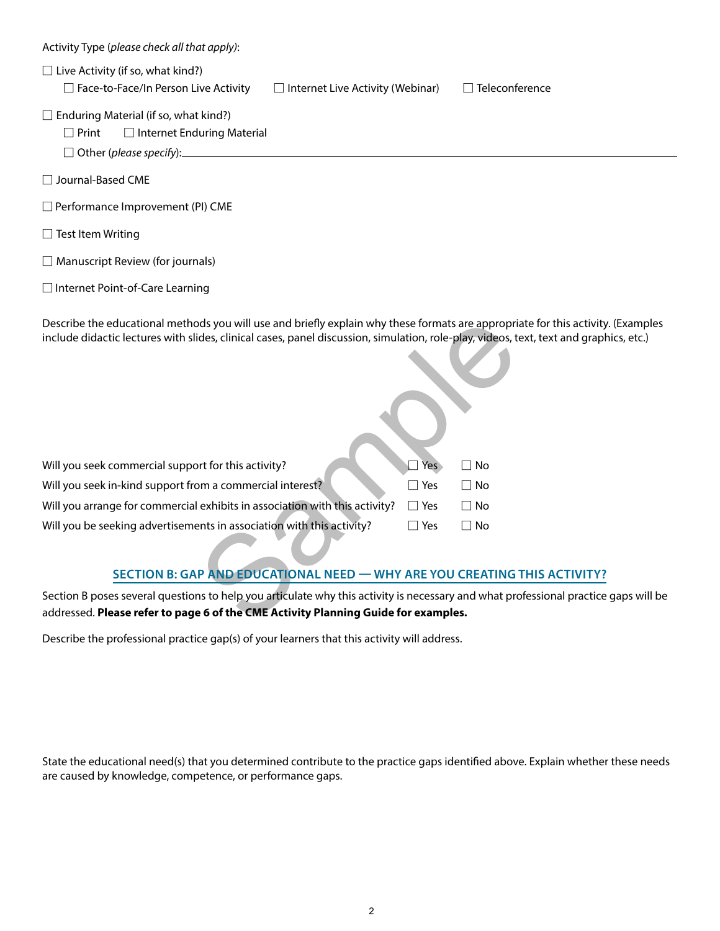| Activity Type (please check all that apply):                                                                                                                                                                                                                               |
|----------------------------------------------------------------------------------------------------------------------------------------------------------------------------------------------------------------------------------------------------------------------------|
| $\Box$ Live Activity (if so, what kind?)<br>Face-to-Face/In Person Live Activity<br>$\Box$ Teleconference<br>$\Box$ Internet Live Activity (Webinar)                                                                                                                       |
| $\Box$ Enduring Material (if so, what kind?)<br>$\Box$ Print<br>$\Box$ Internet Enduring Material<br>$\Box$ Other (please specify):                                                                                                                                        |
| □ Journal-Based CME                                                                                                                                                                                                                                                        |
| $\Box$ Performance Improvement (PI) CME                                                                                                                                                                                                                                    |
| $\Box$ Test Item Writing                                                                                                                                                                                                                                                   |
| $\Box$ Manuscript Review (for journals)                                                                                                                                                                                                                                    |
| □ Internet Point-of-Care Learning                                                                                                                                                                                                                                          |
| Describe the educational methods you will use and briefly explain why these formats are appropriate for this activity. (Examples<br>include didactic lectures with slides, clinical cases, panel discussion, simulation, role-play, videos, text, text and graphics, etc.) |
| $\Box$ Yes<br>Will you seek commercial support for this activity?<br>$\Box$ No                                                                                                                                                                                             |
| Will you seek in-kind support from a commercial interest?<br>$\Box$ Yes<br>$\Box$ No<br>Will you arrange for commercial exhibits in association with this activity?<br>$\Box$ Yes                                                                                          |
| $\Box$ No<br>Will you be seeking advertisements in association with this activity?<br>$\Box$ Yes<br>$\Box$ No                                                                                                                                                              |
|                                                                                                                                                                                                                                                                            |
| <b>SECTION B: GAP AND EDUCATIONAL NEED - WHY ARE YOU CREATING THIS ACTIVITY?</b>                                                                                                                                                                                           |
| Section B poses several questions to help you articulate why this activity is necessary and what professional practice gaps will be<br>addressed. Please refer to page 6 of the CME Activity Planning Guide for examples.                                                  |

Describe the professional practice gap(s) of your learners that this activity will address.

State the educational need(s) that you determined contribute to the practice gaps identified above. Explain whether these needs are caused by knowledge, competence, or performance gaps.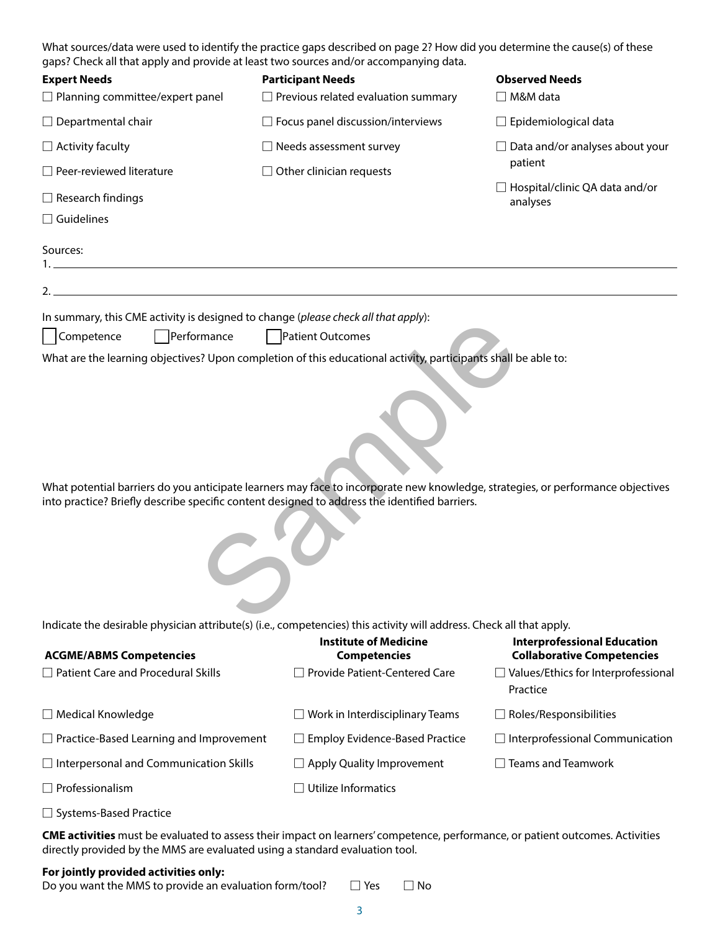| What sources/data were used to identify the practice gaps described on page 2? How did you determine the cause(s) of these |
|----------------------------------------------------------------------------------------------------------------------------|
| gaps? Check all that apply and provide at least two sources and/or accompanying data.                                      |

| <b>Expert Needs</b>                                                                                                  | <b>Participant Needs</b>                                                                                                                                                                                                         | <b>Observed Needs</b>                                                   |
|----------------------------------------------------------------------------------------------------------------------|----------------------------------------------------------------------------------------------------------------------------------------------------------------------------------------------------------------------------------|-------------------------------------------------------------------------|
| $\Box$ Planning committee/expert panel                                                                               | $\Box$ Previous related evaluation summary                                                                                                                                                                                       | □ M&M data                                                              |
| $\Box$ Departmental chair                                                                                            | $\Box$ Focus panel discussion/interviews                                                                                                                                                                                         | $\Box$ Epidemiological data                                             |
| $\Box$ Activity faculty                                                                                              | $\Box$ Needs assessment survey                                                                                                                                                                                                   | $\Box$ Data and/or analyses about your                                  |
| $\Box$ Peer-reviewed literature                                                                                      | $\Box$ Other clinician requests                                                                                                                                                                                                  | patient                                                                 |
| $\Box$ Research findings                                                                                             |                                                                                                                                                                                                                                  | $\Box$ Hospital/clinic QA data and/or<br>analyses                       |
| $\Box$ Guidelines                                                                                                    |                                                                                                                                                                                                                                  |                                                                         |
| Sources:                                                                                                             |                                                                                                                                                                                                                                  |                                                                         |
| <u> 1980 - Johann Barbara, martin amerikan basar dan basa dan basar dan basar dalam basa dalam basa dan basa dan</u> |                                                                                                                                                                                                                                  |                                                                         |
|                                                                                                                      |                                                                                                                                                                                                                                  |                                                                         |
| In summary, this CME activity is designed to change (please check all that apply):                                   |                                                                                                                                                                                                                                  |                                                                         |
| Competence<br>Performance                                                                                            | Patient Outcomes                                                                                                                                                                                                                 |                                                                         |
|                                                                                                                      | What are the learning objectives? Upon completion of this educational activity, participants shall be able to:                                                                                                                   |                                                                         |
|                                                                                                                      | What potential barriers do you anticipate learners may face to incorporate new knowledge, strategies, or performance objectives<br>into practice? Briefly describe specific content designed to address the identified barriers. |                                                                         |
|                                                                                                                      | Indicate the desirable physician attribute(s) (i.e., competencies) this activity will address. Check all that apply.                                                                                                             |                                                                         |
| <b>ACGME/ABMS Competencies</b>                                                                                       | <b>Institute of Medicine</b><br><b>Competencies</b>                                                                                                                                                                              | <b>Interprofessional Education</b><br><b>Collaborative Competencies</b> |
| $\Box$ Patient Care and Procedural Skills                                                                            | Provide Patient-Centered Care                                                                                                                                                                                                    | $\Box$ Values/Ethics for Interprofessional<br>Practice                  |
| $\Box$ Medical Knowledge                                                                                             | $\Box$ Work in Interdisciplinary Teams                                                                                                                                                                                           | $\Box$ Roles/Responsibilities                                           |
| $\Box$ Practice-Based Learning and Improvement                                                                       | □ Employ Evidence-Based Practice                                                                                                                                                                                                 | $\Box$ Interprofessional Communication                                  |
| $\Box$ Interpersonal and Communication Skills                                                                        | $\Box$ Apply Quality Improvement                                                                                                                                                                                                 | Teams and Teamwork                                                      |
| $\Box$ Professionalism                                                                                               | $\Box$ Utilize Informatics                                                                                                                                                                                                       |                                                                         |
| □ Systems-Based Practice                                                                                             |                                                                                                                                                                                                                                  |                                                                         |
|                                                                                                                      |                                                                                                                                                                                                                                  |                                                                         |

**CME activities** must be evaluated to assess their impact on learners' competence, performance, or patient outcomes. Activities directly provided by the MMS are evaluated using a standard evaluation tool.

## **For jointly provided activities only:**

Do you want the MMS to provide an evaluation form/tool?  $\square$  Yes  $\square$  No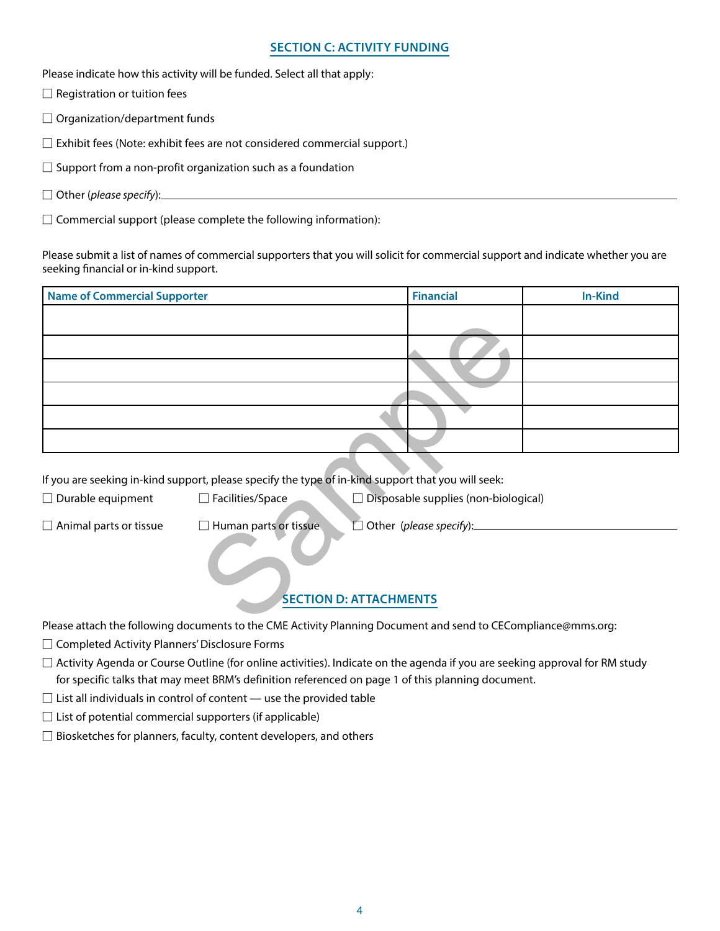### **SECTION C: ACTIVITY FUNDING**

Please indicate how this activity will be funded. Select all that apply:

 $\square$  Registration or tuition fees

 $\Box$  Organization/department funds

 $\square$  Exhibit fees (Note: exhibit fees are not considered commercial support.)

 $\square$  Support from a non-profit organization such as a foundation

□ Other (*please specify*):

 $\square$  Commercial support (please complete the following information):

Please submit a list of names of commercial supporters that you will solicit for commercial support and indicate whether you are seeking financial or in-kind support.

| <b>Name of Commercial Supporter</b> |                                                                                                               | <b>Financial</b>                            | <b>In-Kind</b> |
|-------------------------------------|---------------------------------------------------------------------------------------------------------------|---------------------------------------------|----------------|
|                                     |                                                                                                               |                                             |                |
|                                     |                                                                                                               |                                             |                |
|                                     |                                                                                                               |                                             |                |
|                                     |                                                                                                               |                                             |                |
|                                     |                                                                                                               |                                             |                |
|                                     |                                                                                                               |                                             |                |
|                                     | If you are seeking in-kind support, please specify the type of in-kind support that you will seek:            |                                             |                |
| $\Box$ Durable equipment            | $\Box$ Facilities/Space                                                                                       | $\Box$ Disposable supplies (non-biological) |                |
| $\Box$ Animal parts or tissue       | $\Box$ Human parts or tissue.                                                                                 | Other (please specify):                     |                |
|                                     |                                                                                                               | <b>SECTION D: ATTACHMENTS</b>               |                |
|                                     | Dlazes attach the following decuments to the CME Astivity Dlanning Desument and send to CECemplianse@mms.org; |                                             |                |

## **SECTION D: ATTACHMENTS**

Please attach the following documents to the CME Activity Planning Document and send to CECompliance@mms.org:

□ Completed Activity Planners' Disclosure Forms

 $\square$  Activity Agenda or Course Outline (for online activities). Indicate on the agenda if you are seeking approval for RM study for specific talks that may meet BRM's definition referenced on page 1 of this planning document.

 $\square$  List all individuals in control of content  $-$  use the provided table

 $\square$  List of potential commercial supporters (if applicable)

 $\square$  Biosketches for planners, faculty, content developers, and others